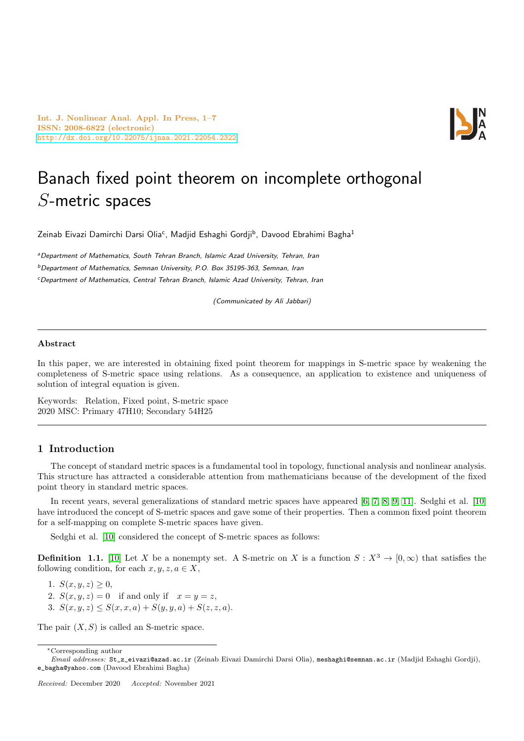Int. J. Nonlinear Anal. Appl. In Press, 1–7 ISSN: 2008-6822 (electronic) <http://dx.doi.org/10.22075/ijnaa.2021.22054.2322>



# Banach fixed point theorem on incomplete orthogonal S-metric spaces

Zeinab Eivazi Damirchi Darsi Olia<sup>c</sup>, Madjid Eshaghi Gordji<sup>b</sup>, Davood Ebrahimi Bagha<sup>1</sup>

<sup>a</sup>Department of Mathematics, South Tehran Branch, Islamic Azad University, Tehran, Iran  $b$ Department of Mathematics, Semnan University, P.O. Box 35195-363, Semnan, Iran <sup>c</sup>Department of Mathematics, Central Tehran Branch, Islamic Azad University, Tehran, Iran

(Communicated by Ali Jabbari)

## Abstract

In this paper, we are interested in obtaining fixed point theorem for mappings in S-metric space by weakening the completeness of S-metric space using relations. As a consequence, an application to existence and uniqueness of solution of integral equation is given.

Keywords: Relation, Fixed point, S-metric space 2020 MSC: Primary 47H10; Secondary 54H25

## 1 Introduction

The concept of standard metric spaces is a fundamental tool in topology, functional analysis and nonlinear analysis. This structure has attracted a considerable attention from mathematicians because of the development of the fixed point theory in standard metric spaces.

In recent years, several generalizations of standard metric spaces have appeared [\[6,](#page-5-0) [7,](#page-5-1) [8,](#page-6-0) [9,](#page-6-1) [11\]](#page-6-2). Sedghi et al. [\[10\]](#page-6-3) have introduced the concept of S-metric spaces and gave some of their properties. Then a common fixed point theorem for a self-mapping on complete S-metric spaces have given.

Sedghi et al. [\[10\]](#page-6-3) considered the concept of S-metric spaces as follows:

**Definition 1.1.** [\[10\]](#page-6-3) Let X be a nonempty set. A S-metric on X is a function  $S: X^3 \to [0, \infty)$  that satisfies the following condition, for each  $x, y, z, a \in X$ ,

1.  $S(x, y, z) \geq 0$ ,

2.  $S(x, y, z) = 0$  if and only if  $x = y = z$ ,

3.  $S(x, y, z) \leq S(x, x, a) + S(y, y, a) + S(z, z, a).$ 

The pair  $(X, S)$  is called an S-metric space.

<sup>∗</sup>Corresponding author

Email addresses: St\_z\_eivazi@azad.ac.ir (Zeinab Eivazi Damirchi Darsi Olia), meshaghi@semnan.ac.ir (Madjid Eshaghi Gordji), e\_bagha@yahoo.com (Davood Ebrahimi Bagha)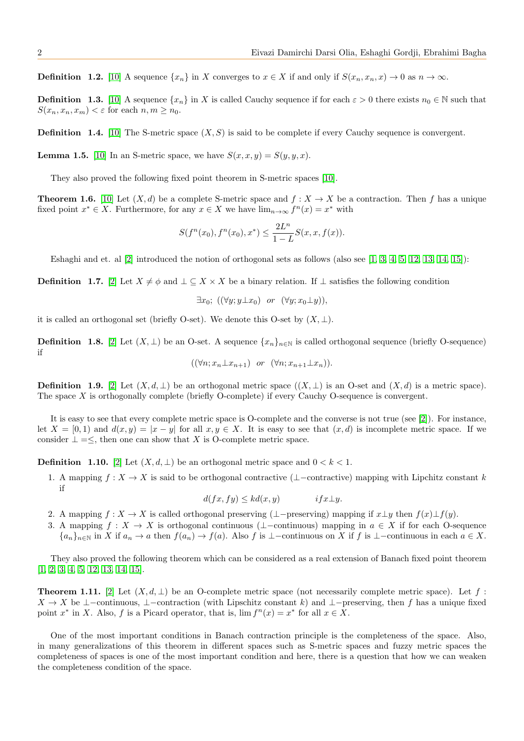**Definition 1.2.** [\[10\]](#page-6-3) A sequence  $\{x_n\}$  in X converges to  $x \in X$  if and only if  $S(x_n, x_n, x) \to 0$  as  $n \to \infty$ .

**Definition 1.3.** [\[10\]](#page-6-3) A sequence  $\{x_n\}$  in X is called Cauchy sequence if for each  $\varepsilon > 0$  there exists  $n_0 \in \mathbb{N}$  such that  $S(x_n, x_n, x_m) < \varepsilon$  for each  $n, m \geq n_0$ .

**Definition 1.4.** [\[10\]](#page-6-3) The S-metric space  $(X, S)$  is said to be complete if every Cauchy sequence is convergent.

<span id="page-1-1"></span>**Lemma 1.5.** [\[10\]](#page-6-3) In an S-metric space, we have  $S(x, x, y) = S(y, y, x)$ .

They also proved the following fixed point theorem in S-metric spaces [\[10\]](#page-6-3).

**Theorem 1.6.** [\[10\]](#page-6-3) Let  $(X, d)$  be a complete S-metric space and  $f : X \to X$  be a contraction. Then f has a unique fixed point  $x^* \in X$ . Furthermore, for any  $x \in X$  we have  $\lim_{n \to \infty} f^n(x) = x^*$  with

$$
S(f^{n}(x_0), f^{n}(x_0), x^*) \leq \frac{2L^n}{1-L} S(x, x, f(x)).
$$

Eshaghi and et. al [\[2\]](#page-5-2) introduced the notion of orthogonal sets as follows (also see [\[1,](#page-5-3) [3,](#page-5-4) [4,](#page-5-5) [5,](#page-5-6) [12,](#page-6-4) [13,](#page-6-5) [14,](#page-6-6) [15\]](#page-6-7)):

**Definition** 1.7. [\[2\]](#page-5-2) Let  $X \neq \phi$  and  $\bot \subseteq X \times X$  be a binary relation. If  $\bot$  satisfies the following condition

 $\exists x_0; ((\forall y; y \bot x_0) \text{ or } (\forall y; x_0 \bot y)),$ 

it is called an orthogonal set (briefly O-set). We denote this O-set by  $(X, \perp)$ .

**Definition 1.8.** [\[2\]](#page-5-2) Let  $(X, \perp)$  be an O-set. A sequence  $\{x_n\}_{n\in\mathbb{N}}$  is called orthogonal sequence (briefly O-sequence) if

$$
((\forall n; x_n \bot x_{n+1}) \quad or \quad (\forall n; x_{n+1} \bot x_n)).
$$

**Definition 1.9.** [\[2\]](#page-5-2) Let  $(X, d, \perp)$  be an orthogonal metric space  $((X, \perp))$  is an O-set and  $(X, d)$  is a metric space). The space X is orthogonally complete (briefly O-complete) if every Cauchy O-sequence is convergent.

It is easy to see that every complete metric space is O-complete and the converse is not true (see [\[2\]](#page-5-2)). For instance, let  $X = [0, 1)$  and  $d(x, y) = |x - y|$  for all  $x, y \in X$ . It is easy to see that  $(x, d)$  is incomplete metric space. If we consider  $\perp = \leq$ , then one can show that X is O-complete metric space.

**Definition 1.10.** [\[2\]](#page-5-2) Let  $(X, d, \perp)$  be an orthogonal metric space and  $0 < k < 1$ .

1. A mapping  $f: X \to X$  is said to be orthogonal contractive (⊥–contractive) mapping with Lipchitz constant k if

 $d(fx, fy) \leq kd(x, y)$  if  $x \perp y$ .

- 2. A mapping  $f: X \to X$  is called orthogonal preserving (⊥−preserving) mapping if  $x \bot y$  then  $f(x) \bot f(y)$ .
- 3. A mapping  $f: X \to X$  is orthogonal continuous (⊥–continuous) mapping in  $a \in X$  if for each O-sequence  ${a_n}_{n\in\mathbb{N}}$  in X if  $a_n \to a$  then  $f(a_n) \to f(a)$ . Also f is ⊥−continuous on X if f is ⊥−continuous in each  $a \in X$ .

They also proved the following theorem which can be considered as a real extension of Banach fixed point theorem [\[1,](#page-5-3) [2,](#page-5-2) [3,](#page-5-4) [4,](#page-5-5) [5,](#page-5-6) [12,](#page-6-4) [13,](#page-6-5) [14,](#page-6-6) [15\]](#page-6-7).

<span id="page-1-0"></span>**Theorem 1.11.** [\[2\]](#page-5-2) Let  $(X, d, \perp)$  be an O-complete metric space (not necessarily complete metric space). Let f:  $X \to X$  be ⊥−continuous, ⊥−contraction (with Lipschitz constant k) and ⊥−preserving, then f has a unique fixed point  $x^*$  in X. Also, f is a Picard operator, that is,  $\lim f^{(n)}(x) = x^*$  for all  $x \in X$ .

One of the most important conditions in Banach contraction principle is the completeness of the space. Also, in many generalizations of this theorem in different spaces such as S-metric spaces and fuzzy metric spaces the completeness of spaces is one of the most important condition and here, there is a question that how we can weaken the completeness condition of the space.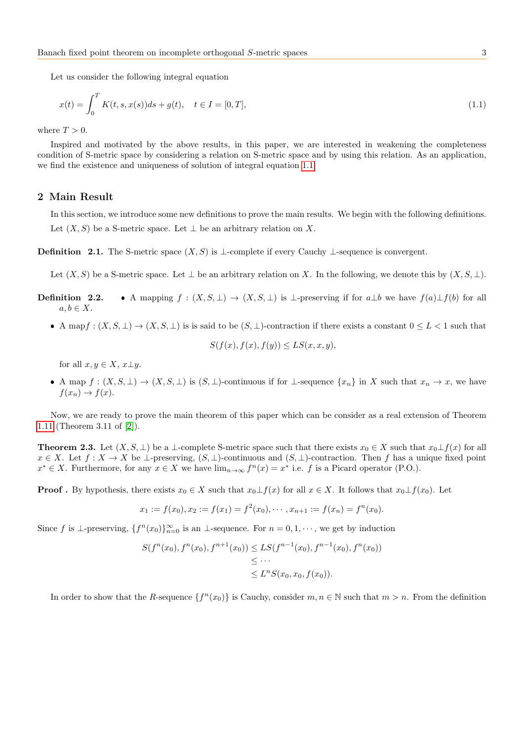Let us consider the following integral equation

<span id="page-2-0"></span>
$$
x(t) = \int_0^T K(t, s, x(s))ds + g(t), \quad t \in I = [0, T],
$$
\n(1.1)

where  $T > 0$ .

Inspired and motivated by the above results, in this paper, we are interested in weakening the completeness condition of S-metric space by considering a relation on S-metric space and by using this relation. As an application, we find the existence and uniqueness of solution of integral equation [1.1.](#page-2-0)

## 2 Main Result

In this section, we introduce some new definitions to prove the main results. We begin with the following definitions. Let  $(X, S)$  be a S-metric space. Let  $\perp$  be an arbitrary relation on X.

**Definition 2.1.** The S-metric space  $(X, S)$  is ⊥-complete if every Cauchy ⊥-sequence is convergent.

Let  $(X, S)$  be a S-metric space. Let  $\bot$  be an arbitrary relation on X. In the following, we denote this by  $(X, S, \bot)$ .

- **Definition 2.2.** A mapping  $f : (X, S, \perp) \to (X, S, \perp)$  is  $\perp$ -preserving if for  $a \perp b$  we have  $f(a) \perp f(b)$  for all  $a, b \in X$ .
	- A mapf :  $(X, S, \perp) \to (X, S, \perp)$  is is said to be  $(S, \perp)$ -contraction if there exists a constant  $0 \leq L < 1$  such that

$$
S(f(x), f(x), f(y)) \le LS(x, x, y),
$$

for all  $x, y \in X$ ,  $x \perp y$ .

A map  $f : (X, S, \perp) \to (X, S, \perp)$  is  $(S, \perp)$ -continuous if for  $\perp$ -sequence  $\{x_n\}$  in X such that  $x_n \to x$ , we have  $f(x_n) \rightarrow f(x)$ .

Now, we are ready to prove the main theorem of this paper which can be consider as a real extension of Theorem [1.11](#page-1-0) (Theorem 3.11 of [\[2\]](#page-5-2)).

**Theorem 2.3.** Let  $(X, S, \perp)$  be a  $\perp$ -complete S-metric space such that there exists  $x_0 \in X$  such that  $x_0 \perp f(x)$  for all  $x \in X$ . Let  $f: X \to X$  be  $\bot$ -preserving,  $(S, \bot)$ -continuous and  $(S, \bot)$ -contraction. Then f has a unique fixed point  $x^* \in X$ . Furthermore, for any  $x \in X$  we have  $\lim_{n \to \infty} f^n(x) = x^*$  i.e. f is a Picard operator (P.O.).

**Proof**. By hypothesis, there exists  $x_0 \in X$  such that  $x_0 \perp f(x)$  for all  $x \in X$ . It follows that  $x_0 \perp f(x_0)$ . Let

<span id="page-2-1"></span>
$$
x_1 := f(x_0), x_2 := f(x_1) = f^2(x_0), \cdots, x_{n+1} := f(x_n) = f^n(x_0).
$$

Since f is  $\perp$ -preserving,  $\{f^n(x_0)\}_{n=0}^{\infty}$  is an  $\perp$ -sequence. For  $n=0,1,\cdots$ , we get by induction

$$
S(f^{n}(x_0), f^{n}(x_0), f^{n+1}(x_0)) \le LS(f^{n-1}(x_0), f^{n-1}(x_0), f^{n}(x_0))
$$
  

$$
\le \cdots
$$
  

$$
\le L^{n}S(x_0, x_0, f(x_0)).
$$

In order to show that the R-sequence  $\{f^{(n)}(x_0)\}$  is Cauchy, consider  $m, n \in \mathbb{N}$  such that  $m > n$ . From the definition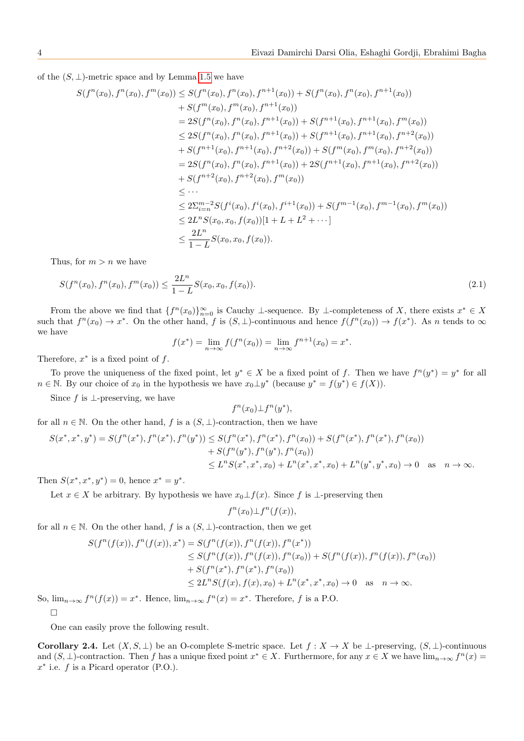of the  $(S, \perp)$ -metric space and by Lemma [1.5](#page-1-1) we have

$$
S(f^{n}(x_{0}), f^{n}(x_{0}), f^{m}(x_{0})) \leq S(f^{n}(x_{0}), f^{n}(x_{0}), f^{n+1}(x_{0})) + S(f^{n}(x_{0}), f^{n}(x_{0}), f^{n+1}(x_{0}))
$$
  
\n
$$
+ S(f^{m}(x_{0}), f^{m}(x_{0}), f^{n+1}(x_{0}))
$$
  
\n
$$
= 2S(f^{n}(x_{0}), f^{n}(x_{0}), f^{n+1}(x_{0})) + S(f^{n+1}(x_{0}), f^{n+1}(x_{0}), f^{m+2}(x_{0}))
$$
  
\n
$$
\leq 2S(f^{n}(x_{0}), f^{n}(x_{0}), f^{n+1}(x_{0})) + S(f^{n+1}(x_{0}), f^{n+1}(x_{0}), f^{n+2}(x_{0}))
$$
  
\n
$$
+ S(f^{n+1}(x_{0}), f^{n+1}(x_{0}), f^{n+2}(x_{0})) + S(f^{m}(x_{0}), f^{m}(x_{0}), f^{n+2}(x_{0}))
$$
  
\n
$$
+ S(f^{n+2}(x_{0}), f^{n}(x_{0}), f^{n+1}(x_{0})) + 2S(f^{n+1}(x_{0}), f^{n+1}(x_{0}), f^{n+2}(x_{0}))
$$
  
\n
$$
\leq \cdots
$$
  
\n
$$
\leq 2\sum_{i=n}^{m-2} S(f^{i}(x_{0}), f^{i}(x_{0}), f^{i+1}(x_{0})) + S(f^{m-1}(x_{0}), f^{m-1}(x_{0}), f^{m}(x_{0}))
$$
  
\n
$$
\leq 2L^{n} S(x_{0}, x_{0}, f(x_{0}))[1 + L + L^{2} + \cdots]
$$
  
\n
$$
\leq \frac{2L^{n}}{1 - L} S(x_{0}, x_{0}, f(x_{0}))
$$

Thus, for  $m > n$  we have

$$
S(f^{n}(x_0), f^{n}(x_0), f^{m}(x_0)) \le \frac{2L^n}{1 - L} S(x_0, x_0, f(x_0)).
$$
\n(2.1)

From the above we find that  $\{f^n(x_0)\}_{n=0}^{\infty}$  is Cauchy ⊥-sequence. By ⊥-completeness of X, there exists  $x^* \in X$ such that  $f^{n}(x_0) \to x^*$ . On the other hand, f is  $(S, \perp)$ -continuous and hence  $f(f^{n}(x_0)) \to f(x^*)$ . As n tends to  $\infty$ we have

$$
f(x^*) = \lim_{n \to \infty} f(f^n(x_0)) = \lim_{n \to \infty} f^{n+1}(x_0) = x^*.
$$

Therefore,  $x^*$  is a fixed point of  $f$ .

To prove the uniqueness of the fixed point, let  $y^* \in X$  be a fixed point of f. Then we have  $f^n(y^*) = y^*$  for all  $n \in \mathbb{N}$ . By our choice of  $x_0$  in the hypothesis we have  $x_0 \perp y^*$  (because  $y^* = f(y^*) \in f(X)$ ).

Since f is  $\perp$ -preserving, we have

$$
f^n(x_0) \bot f^n(y^*),
$$

for all  $n \in \mathbb{N}$ . On the other hand, f is a  $(S, \perp)$ -contraction, then we have

$$
S(x^*, x^*, y^*) = S(f^n(x^*), f^n(x^*), f^n(y^*)) \leq S(f^n(x^*), f^n(x^*), f^n(x_0)) + S(f^n(x^*), f^n(x^*), f^n(x_0))
$$
  
+ 
$$
S(f^n(y^*), f^n(y^*), f^n(x_0))
$$
  

$$
\leq L^n S(x^*, x^*, x_0) + L^n(x^*, x^*, x_0) + L^n(y^*, y^*, x_0) \to 0 \text{ as } n \to \infty.
$$

Then  $S(x^*, x^*, y^*) = 0$ , hence  $x^* = y^*$ .

Let  $x \in X$  be arbitrary. By hypothesis we have  $x_0 \perp f(x)$ . Since f is  $\perp$ -preserving then

$$
f^{n}(x_0) \bot f^{n}(f(x)),
$$

for all  $n \in \mathbb{N}$ . On the other hand, f is a  $(S, \perp)$ -contraction, then we get

$$
S(f^{n}(f(x)), f^{n}(f(x)), x^{*}) = S(f^{n}(f(x)), f^{n}(f(x)), f^{n}(x^{*}))
$$
  
\n
$$
\leq S(f^{n}(f(x)), f^{n}(f(x)), f^{n}(x_{0})) + S(f^{n}(f(x)), f^{n}(x_{0})),
$$
  
\n
$$
+ S(f^{n}(x^{*}), f^{n}(x^{*}), f^{n}(x_{0}))
$$
  
\n
$$
\leq 2L^{n}S(f(x), f(x), x_{0}) + L^{n}(x^{*}, x^{*}, x_{0}) \to 0 \text{ as } n \to \infty.
$$

So,  $\lim_{n\to\infty} f^n(f(x)) = x^*$ . Hence,  $\lim_{n\to\infty} f^n(x) = x^*$ . Therefore, f is a P.O.

 $\Box$ 

One can easily prove the following result.

Corollary 2.4. Let  $(X, S, \perp)$  be an O-complete S-metric space. Let  $f : X \to X$  be  $\perp$ -preserving,  $(S, \perp)$ -continuous and  $(S, \perp)$ -contraction. Then f has a unique fixed point  $x^* \in X$ . Furthermore, for any  $x \in X$  we have  $\lim_{n\to\infty} f^n(x) =$  $x^*$  i.e.  $f$  is a Picard operator (P.O.).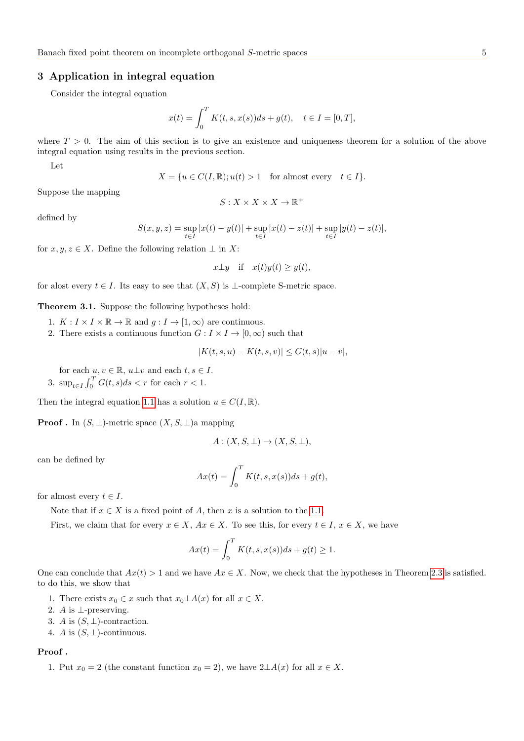## 3 Application in integral equation

Consider the integral equation

$$
x(t) = \int_0^T K(t, s, x(s))ds + g(t), \quad t \in I = [0, T],
$$

where  $T > 0$ . The aim of this section is to give an existence and uniqueness theorem for a solution of the above integral equation using results in the previous section.

Let

$$
X = \{ u \in C(I, \mathbb{R}) ; u(t) > 1 \quad \text{for almost every} \quad t \in I \}.
$$

Suppose the mapping

$$
S:X\times X\times X\to\mathbb{R}^+
$$

defined by

$$
S(x, y, z) = \sup_{t \in I} |x(t) - y(t)| + \sup_{t \in I} |x(t) - z(t)| + \sup_{t \in I} |y(t) - z(t)|,
$$

for  $x, y, z \in X$ . Define the following relation  $\perp$  in X:

$$
x \perp y
$$
 if  $x(t)y(t) \geq y(t)$ ,

for alost every  $t \in I$ . Its easy to see that  $(X, S)$  is ⊥-complete S-metric space.

Theorem 3.1. Suppose the following hypotheses hold:

- 1.  $K: I \times I \times \mathbb{R} \to \mathbb{R}$  and  $g: I \to [1, \infty)$  are continuous.
- 2. There exists a continuous function  $G: I \times I \to [0, \infty)$  such that

$$
|K(t, s, u) - K(t, s, v)| \le G(t, s)|u - v|,
$$

for each  $u, v \in \mathbb{R}$ ,  $u \perp v$  and each  $t, s \in I$ . 3.  $\sup_{t \in I} \int_0^T G(t, s) ds < r$  for each  $r < 1$ .

Then the integral equation [1.1](#page-2-0) has a solution  $u \in C(I, \mathbb{R})$ .

**Proof** . In  $(S, \perp)$ -metric space  $(X, S, \perp)$ a mapping

$$
A: (X, S, \bot) \to (X, S, \bot),
$$

can be defined by

$$
Ax(t) = \int_0^T K(t, s, x(s))ds + g(t),
$$

for almost every  $t \in I$ .

Note that if  $x \in X$  is a fixed point of A, then x is a solution to the [1.1.](#page-2-0)

First, we claim that for every  $x \in X$ ,  $Ax \in X$ . To see this, for every  $t \in I$ ,  $x \in X$ , we have

$$
Ax(t) = \int_0^T K(t, s, x(s))ds + g(t) \ge 1.
$$

One can conclude that  $Ax(t) > 1$  and we have  $Ax \in X$ . Now, we check that the hypotheses in Theorem [2.3](#page-2-1) is satisfied. to do this, we show that

- 1. There exists  $x_0 \in x$  such that  $x_0 \perp A(x)$  for all  $x \in X$ .
- 2. A is ⊥-preserving.
- 3. A is  $(S, \perp)$ -contraction.
- 4. A is  $(S, \perp)$ -continuous.

#### Proof .

1. Put  $x_0 = 2$  (the constant function  $x_0 = 2$ ), we have  $2 \perp A(x)$  for all  $x \in X$ .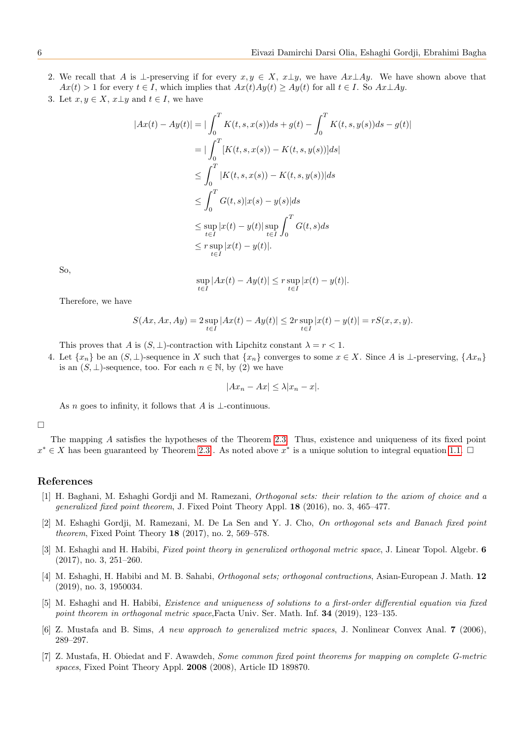- 2. We recall that A is ⊥-preserving if for every  $x, y \in X$ ,  $x \perp y$ , we have  $Ax \perp Ay$ . We have shown above that  $Ax(t) > 1$  for every  $t \in I$ , which implies that  $Ax(t)Ay(t) \ge Ay(t)$  for all  $t \in I$ . So  $Ax \perp Ay$ .
- 3. Let  $x, y \in X$ ,  $x \perp y$  and  $t \in I$ , we have

$$
|Ax(t) - Ay(t)| = |\int_0^T K(t, s, x(s))ds + g(t) - \int_0^T K(t, s, y(s))ds - g(t)|
$$
  
\n
$$
= |\int_0^T [K(t, s, x(s)) - K(t, s, y(s))]ds|
$$
  
\n
$$
\leq \int_0^T |K(t, s, x(s)) - K(t, s, y(s))|ds
$$
  
\n
$$
\leq \int_0^T G(t, s)|x(s) - y(s)|ds
$$
  
\n
$$
\leq \sup_{t \in I} |x(t) - y(t)| \sup_{t \in I} \int_0^T G(t, s)ds
$$
  
\n
$$
\leq r \sup_{t \in I} |x(t) - y(t)|.
$$

So,

 $\sup_{t \in I} |Ax(t) - Ay(t)| \leq r \sup_{t \in I} |x(t) - y(t)|.$ 

Therefore, we have

$$
S(Ax, Ax, Ay) = 2 \sup_{t \in I} |Ax(t) - Ay(t)| \le 2r \sup_{t \in I} |x(t) - y(t)| = rS(x, x, y).
$$

This proves that A is  $(S, \perp)$ -contraction with Lipchitz constant  $\lambda = r < 1$ .

4. Let  $\{x_n\}$  be an  $(S, \perp)$ -sequence in X such that  $\{x_n\}$  converges to some  $x \in X$ . Since A is  $\perp$ -preserving,  $\{Ax_n\}$ is an  $(S, \perp)$ -sequence, too. For each  $n \in \mathbb{N}$ , by  $(2)$  we have

$$
|Ax_n - Ax| \le \lambda |x_n - x|.
$$

As n goes to infinity, it follows that A is  $\bot$ -continuous.

□

The mapping A satisfies the hypotheses of the Theorem [2.3.](#page-2-1) Thus, existence and uniqueness of its fixed point  $x^* \in X$  has been guaranteed by Theorem [2.3](#page-2-1). As noted above  $x^*$  is a unique solution to integral equation [1.1.](#page-2-0)  $\Box$ 

#### References

- <span id="page-5-3"></span>[1] H. Baghani, M. Eshaghi Gordji and M. Ramezani, Orthogonal sets: their relation to the axiom of choice and a generalized fixed point theorem, J. Fixed Point Theory Appl. 18 (2016), no. 3, 465–477.
- <span id="page-5-2"></span>[2] M. Eshaghi Gordji, M. Ramezani, M. De La Sen and Y. J. Cho, On orthogonal sets and Banach fixed point theorem, Fixed Point Theory 18 (2017), no. 2, 569–578.
- <span id="page-5-4"></span>[3] M. Eshaghi and H. Habibi, Fixed point theory in generalized orthogonal metric space, J. Linear Topol. Algebr. 6 (2017), no. 3, 251–260.
- <span id="page-5-5"></span>[4] M. Eshaghi, H. Habibi and M. B. Sahabi, Orthogonal sets; orthogonal contractions, Asian-European J. Math. 12 (2019), no. 3, 1950034.
- <span id="page-5-6"></span>[5] M. Eshaghi and H. Habibi, Existence and uniqueness of solutions to a first-order differential equation via fixed point theorem in orthogonal metric space,Facta Univ. Ser. Math. Inf. 34 (2019), 123–135.
- <span id="page-5-0"></span>[6] Z. Mustafa and B. Sims, A new approach to generalized metric spaces, J. Nonlinear Convex Anal. 7 (2006), 289–297.
- <span id="page-5-1"></span>[7] Z. Mustafa, H. Obiedat and F. Awawdeh, Some common fixed point theorems for mapping on complete G-metric spaces, Fixed Point Theory Appl. 2008 (2008), Article ID 189870.